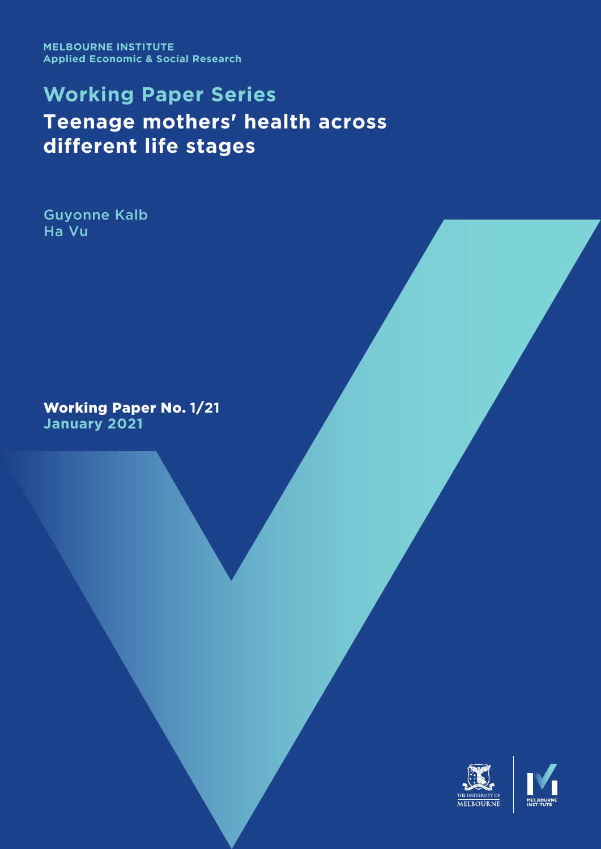**MELBOURNE INSTITUTE Applied Economic & Social Research**

# **Working Paper Series Is it 'dog days' for the young in the Australian labour market?**

Jeff Borland Michael Coelli

Working Paper No. **5**/**21 May 2021**

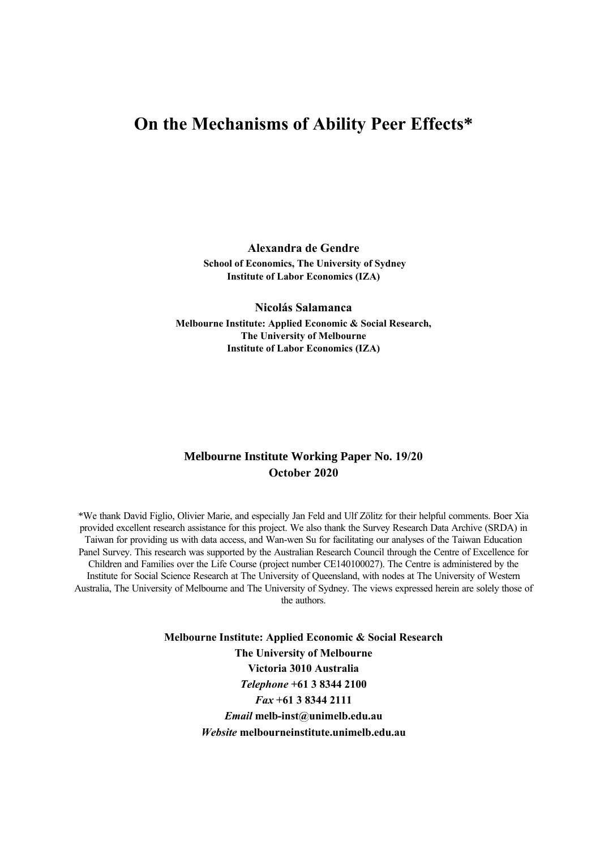# **Is it 'dog days' for the young in the Australian labour market?<sup>1</sup>**

#### **Jeff Borland**

**Department of Economics, The University of Melbourne**

#### **Michael Coelli**

**Department of Economics, The University of Melbourne**

## **Melbourne Institute Working Paper No. 5/21**

### **May 2021**

\*An initial version of this paper was presented at Melbourne Economic Forum in May 2018. We are grateful for helpful comments from James Bishop, Natasha Cassidy, Peter Davidson, Catherine de Fontenay, Bob Gregory, Kate Griffiths and participants in seminars at the Commonwealth Treasury and Reserve Bank of Australia. Research in this article has been funded by ARC Discovery Grant DP160102269.

The reference to 'dog days' is from Garnaut (2013).

**Melbourne Institute: Applied Economic & Social Research The University of Melbourne Victoria 3010 Australia**  *Telephone* **+61 3 8344 2100**  *Fax* **+61 3 8344 2111**  *Email* **melb-inst@unimelb.edu.au**  *Website* **melbourneinstitute.unimelb.edu.au**